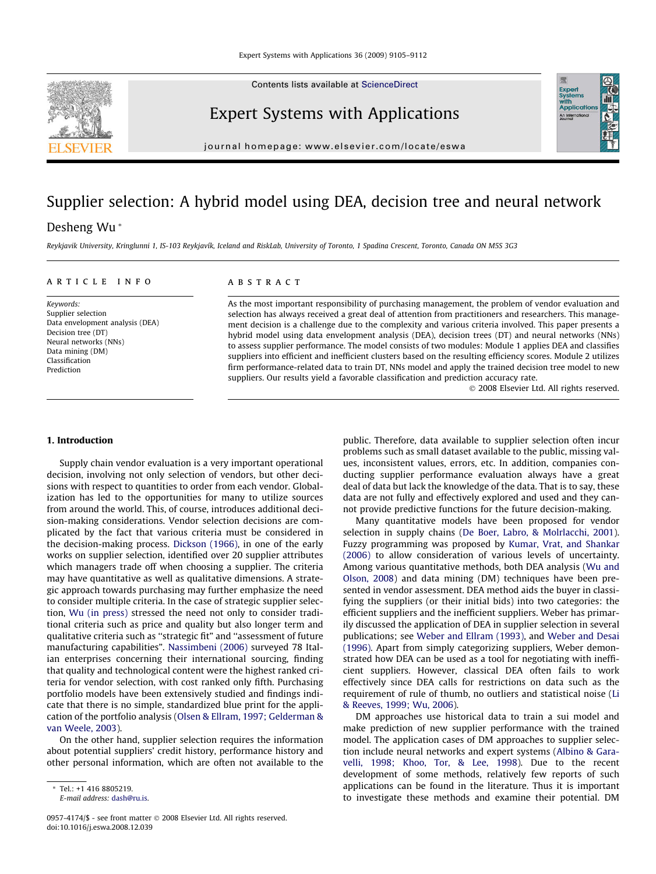Contents lists available at [ScienceDirect](http://www.sciencedirect.com/science/journal/09574174)



journal homepage: [www.elsevier.com/locate/eswa](http://www.elsevier.com/locate/eswa)

## Supplier selection: A hybrid model using DEA, decision tree and neural network

## Desheng Wu \*

Reykjavik University, Kringlunni 1, IS-103 Reykjavík, Iceland and RiskLab, University of Toronto, 1 Spadina Crescent, Toronto, Canada ON M5S 3G3

#### article info

Keywords: Supplier selection Data envelopment analysis (DEA) Decision tree (DT) Neural networks (NNs) Data mining (DM) Classification Prediction

#### **ABSTRACT**

As the most important responsibility of purchasing management, the problem of vendor evaluation and selection has always received a great deal of attention from practitioners and researchers. This management decision is a challenge due to the complexity and various criteria involved. This paper presents a hybrid model using data envelopment analysis (DEA), decision trees (DT) and neural networks (NNs) to assess supplier performance. The model consists of two modules: Module 1 applies DEA and classifies suppliers into efficient and inefficient clusters based on the resulting efficiency scores. Module 2 utilizes firm performance-related data to train DT, NNs model and apply the trained decision tree model to new suppliers. Our results yield a favorable classification and prediction accuracy rate.

- 2008 Elsevier Ltd. All rights reserved.

### 1. Introduction

Supply chain vendor evaluation is a very important operational decision, involving not only selection of vendors, but other decisions with respect to quantities to order from each vendor. Globalization has led to the opportunities for many to utilize sources from around the world. This, of course, introduces additional decision-making considerations. Vendor selection decisions are complicated by the fact that various criteria must be considered in the decision-making process. [Dickson \(1966\),](#page--1-0) in one of the early works on supplier selection, identified over 20 supplier attributes which managers trade off when choosing a supplier. The criteria may have quantitative as well as qualitative dimensions. A strategic approach towards purchasing may further emphasize the need to consider multiple criteria. In the case of strategic supplier selection, [Wu \(in press\)](#page--1-0) stressed the need not only to consider traditional criteria such as price and quality but also longer term and qualitative criteria such as ''strategic fit" and ''assessment of future manufacturing capabilities". [Nassimbeni \(2006\)](#page--1-0) surveyed 78 Italian enterprises concerning their international sourcing, finding that quality and technological content were the highest ranked criteria for vendor selection, with cost ranked only fifth. Purchasing portfolio models have been extensively studied and findings indicate that there is no simple, standardized blue print for the application of the portfolio analysis [\(Olsen & Ellram, 1997; Gelderman &](#page--1-0) [van Weele, 2003\)](#page--1-0).

On the other hand, supplier selection requires the information about potential suppliers' credit history, performance history and other personal information, which are often not available to the

public. Therefore, data available to supplier selection often incur problems such as small dataset available to the public, missing values, inconsistent values, errors, etc. In addition, companies conducting supplier performance evaluation always have a great deal of data but lack the knowledge of the data. That is to say, these data are not fully and effectively explored and used and they cannot provide predictive functions for the future decision-making.

Many quantitative models have been proposed for vendor selection in supply chains [\(De Boer, Labro, & Molrlacchi, 2001\)](#page--1-0). Fuzzy programming was proposed by [Kumar, Vrat, and Shankar](#page--1-0) [\(2006\)](#page--1-0) to allow consideration of various levels of uncertainty. Among various quantitative methods, both DEA analysis [\(Wu and](#page--1-0) [Olson, 2008\)](#page--1-0) and data mining (DM) techniques have been presented in vendor assessment. DEA method aids the buyer in classifying the suppliers (or their initial bids) into two categories: the efficient suppliers and the inefficient suppliers. Weber has primarily discussed the application of DEA in supplier selection in several publications; see [Weber and Ellram \(1993\),](#page--1-0) and [Weber and Desai](#page--1-0) [\(1996\).](#page--1-0) Apart from simply categorizing suppliers, Weber demonstrated how DEA can be used as a tool for negotiating with inefficient suppliers. However, classical DEA often fails to work effectively since DEA calls for restrictions on data such as the requirement of rule of thumb, no outliers and statistical noise [\(Li](#page--1-0) [& Reeves, 1999; Wu, 2006\)](#page--1-0).

DM approaches use historical data to train a sui model and make prediction of new supplier performance with the trained model. The application cases of DM approaches to supplier selection include neural networks and expert systems ([Albino & Gara](#page--1-0)[velli, 1998; Khoo, Tor, & Lee, 1998\)](#page--1-0). Due to the recent development of some methods, relatively few reports of such applications can be found in the literature. Thus it is important to investigate these methods and examine their potential. DM





<sup>\*</sup> Tel.: +1 416 8805219.

E-mail address: [dash@ru.is.](mailto:dash@ru.is)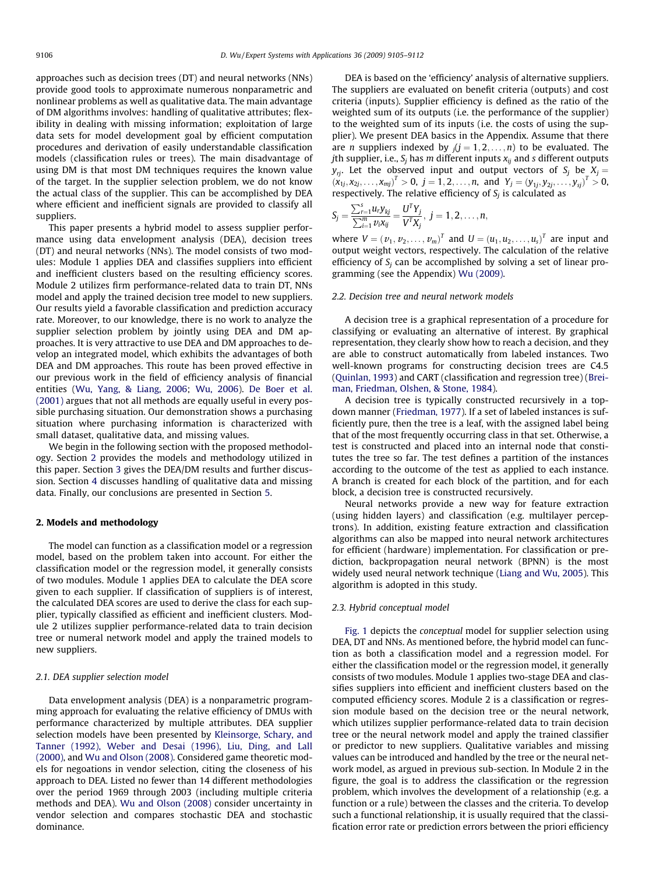approaches such as decision trees (DT) and neural networks (NNs) provide good tools to approximate numerous nonparametric and nonlinear problems as well as qualitative data. The main advantage of DM algorithms involves: handling of qualitative attributes; flexibility in dealing with missing information; exploitation of large data sets for model development goal by efficient computation procedures and derivation of easily understandable classification models (classification rules or trees). The main disadvantage of using DM is that most DM techniques requires the known value of the target. In the supplier selection problem, we do not know the actual class of the supplier. This can be accomplished by DEA where efficient and inefficient signals are provided to classify all suppliers.

This paper presents a hybrid model to assess supplier performance using data envelopment analysis (DEA), decision trees (DT) and neural networks (NNs). The model consists of two modules: Module 1 applies DEA and classifies suppliers into efficient and inefficient clusters based on the resulting efficiency scores. Module 2 utilizes firm performance-related data to train DT, NNs model and apply the trained decision tree model to new suppliers. Our results yield a favorable classification and prediction accuracy rate. Moreover, to our knowledge, there is no work to analyze the supplier selection problem by jointly using DEA and DM approaches. It is very attractive to use DEA and DM approaches to develop an integrated model, which exhibits the advantages of both DEA and DM approaches. This route has been proved effective in our previous work in the field of efficiency analysis of financial entities ([Wu, Yang, & Liang, 2006](#page--1-0); [Wu, 2006\)](#page--1-0). [De Boer et al.](#page--1-0) [\(2001\)](#page--1-0) argues that not all methods are equally useful in every possible purchasing situation. Our demonstration shows a purchasing situation where purchasing information is characterized with small dataset, qualitative data, and missing values.

We begin in the following section with the proposed methodology. Section 2 provides the models and methodology utilized in this paper. Section [3](#page--1-0) gives the DEA/DM results and further discussion. Section [4](#page--1-0) discusses handling of qualitative data and missing data. Finally, our conclusions are presented in Section [5](#page--1-0).

#### 2. Models and methodology

The model can function as a classification model or a regression model, based on the problem taken into account. For either the classification model or the regression model, it generally consists of two modules. Module 1 applies DEA to calculate the DEA score given to each supplier. If classification of suppliers is of interest, the calculated DEA scores are used to derive the class for each supplier, typically classified as efficient and inefficient clusters. Module 2 utilizes supplier performance-related data to train decision tree or numeral network model and apply the trained models to new suppliers.

#### 2.1. DEA supplier selection model

Data envelopment analysis (DEA) is a nonparametric programming approach for evaluating the relative efficiency of DMUs with performance characterized by multiple attributes. DEA supplier selection models have been presented by [Kleinsorge, Schary, and](#page--1-0) [Tanner \(1992\), Weber and Desai \(1996\), Liu, Ding, and Lall](#page--1-0) [\(2000\),](#page--1-0) and [Wu and Olson \(2008\)](#page--1-0). Considered game theoretic models for negoations in vendor selection, citing the closeness of his approach to DEA. Listed no fewer than 14 different methodologies over the period 1969 through 2003 (including multiple criteria methods and DEA). [Wu and Olson \(2008\)](#page--1-0) consider uncertainty in vendor selection and compares stochastic DEA and stochastic dominance.

DEA is based on the 'efficiency' analysis of alternative suppliers. The suppliers are evaluated on benefit criteria (outputs) and cost criteria (inputs). Supplier efficiency is defined as the ratio of the weighted sum of its outputs (i.e. the performance of the supplier) to the weighted sum of its inputs (i.e. the costs of using the supplier). We present DEA basics in the Appendix. Assume that there are *n* suppliers indexed by  $j(j = 1, 2, ..., n)$  to be evaluated. The *j*th supplier, i.e.,  $S_i$  has m different inputs  $x_{ij}$  and s different outputs  $y_{ri}$ . Let the observed input and output vectors of  $S_i$  be  $X_j =$  $(x_{1j}, x_{2j}, \ldots, x_{mj})^T > 0$ ,  $j = 1, 2, \ldots, n$ , and  $Y_j = (y_{1j}, y_{2j}, \ldots, y_{sj})^T > 0$ , respectively. The relative efficiency of  $S_i$  is calculated as

$$
S_j = \frac{\sum_{r=1}^{s} u_r y_{kj}}{\sum_{i=1}^{m} v_i x_{ij}} = \frac{U^T Y_j}{V^T X_j}, \ j = 1, 2, \dots, n,
$$

where  $V = (v_1, v_2, ..., v_m)^T$  and  $U = (u_1, u_2, ..., u_s)^T$  are input and output weight vectors, respectively. The calculation of the relative efficiency of  $S_i$  can be accomplished by solving a set of linear programming (see the Appendix) [Wu \(2009\).](#page--1-0)

#### 2.2. Decision tree and neural network models

A decision tree is a graphical representation of a procedure for classifying or evaluating an alternative of interest. By graphical representation, they clearly show how to reach a decision, and they are able to construct automatically from labeled instances. Two well-known programs for constructing decision trees are C4.5 ([Quinlan, 1993\)](#page--1-0) and CART (classification and regression tree) [\(Brei](#page--1-0)[man, Friedman, Olshen, & Stone, 1984](#page--1-0)).

A decision tree is typically constructed recursively in a topdown manner ([Friedman, 1977\)](#page--1-0). If a set of labeled instances is sufficiently pure, then the tree is a leaf, with the assigned label being that of the most frequently occurring class in that set. Otherwise, a test is constructed and placed into an internal node that constitutes the tree so far. The test defines a partition of the instances according to the outcome of the test as applied to each instance. A branch is created for each block of the partition, and for each block, a decision tree is constructed recursively.

Neural networks provide a new way for feature extraction (using hidden layers) and classification (e.g. multilayer perceptrons). In addition, existing feature extraction and classification algorithms can also be mapped into neural network architectures for efficient (hardware) implementation. For classification or prediction, backpropagation neural network (BPNN) is the most widely used neural network technique ([Liang and Wu, 2005\)](#page--1-0). This algorithm is adopted in this study.

#### 2.3. Hybrid conceptual model

[Fig. 1](#page--1-0) depicts the conceptual model for supplier selection using DEA, DT and NNs. As mentioned before, the hybrid model can function as both a classification model and a regression model. For either the classification model or the regression model, it generally consists of two modules. Module 1 applies two-stage DEA and classifies suppliers into efficient and inefficient clusters based on the computed efficiency scores. Module 2 is a classification or regression module based on the decision tree or the neural network, which utilizes supplier performance-related data to train decision tree or the neural network model and apply the trained classifier or predictor to new suppliers. Qualitative variables and missing values can be introduced and handled by the tree or the neural network model, as argued in previous sub-section. In Module 2 in the figure, the goal is to address the classification or the regression problem, which involves the development of a relationship (e.g. a function or a rule) between the classes and the criteria. To develop such a functional relationship, it is usually required that the classification error rate or prediction errors between the priori efficiency